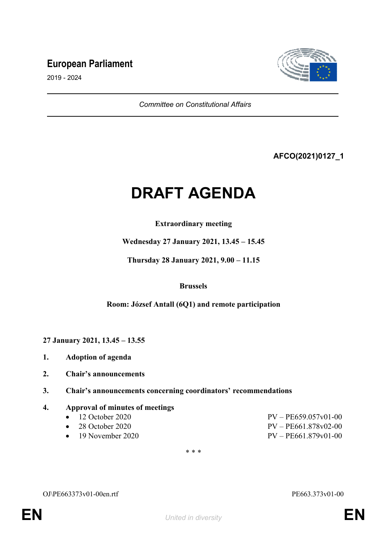# **European Parliament**



2019 - 2024

*Committee on Constitutional Affairs*

# **AFCO(2021)0127\_1**

# **DRAFT AGENDA**

# **Extraordinary meeting**

**Wednesday 27 January 2021, 13.45 – 15.45**

**Thursday 28 January 2021, 9.00 – 11.15**

#### **Brussels**

# **Room: József Antall (6Q1) and remote participation**

**27 January 2021, 13.45 – 13.55**

- **1. Adoption of agenda**
- **2. Chair's announcements**
- **3. Chair's announcements concerning coordinators' recommendations**

# **4. Approval of minutes of meetings**

- 
- 
- 
- $-12$  October 2020 PV PE659.057v01-00 • 28 October 2020 PV – PE661.878v02-00 19 November 2020 PV – PE661.879v01-00

\* \* \*

OJ\PE663373v01-00en.rtf PE663.373v01-00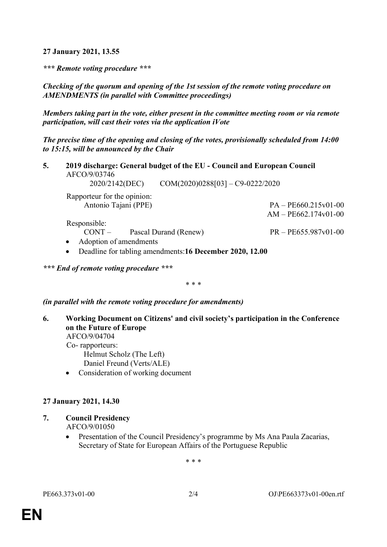**27 January 2021, 13.55**

*\*\*\* Remote voting procedure \*\*\**

*Checking of the quorum and opening of the 1st session of the remote voting procedure on AMENDMENTS (in parallel with Committee proceedings)*

*Members taking part in the vote, either present in the committee meeting room or via remote participation, will cast their votes via the application iVote*

*The precise time of the opening and closing of the votes, provisionally scheduled from 14:00 to 15:15, will be announced by the Chair*

**5. 2019 discharge: General budget of the EU - Council and European Council** AFCO/9/03746

2020/2142(DEC) COM(2020)0288[03] – C9-0222/2020

Rapporteur for the opinion: Antonio Tajani (PPE) PA – PE660.215v01-00

Responsible:

CONT – Pascal Durand (Renew) PR – PE655.987v01-00

AM – PE662.174v01-00

- Adoption of amendments
- Deadline for tabling amendments:**16 December 2020, 12.00**

*\*\*\* End of remote voting procedure \*\*\**

\* \* \*

*(in parallel with the remote voting procedure for amendments)*

**6. Working Document on Citizens' and civil society's participation in the Conference on the Future of Europe** AFCO/9/04704 Co- rapporteurs: Helmut Scholz (The Left)

Daniel Freund (Verts/ALE)

Consideration of working document

# **27 January 2021, 14.30**

- **7. Council Presidency** AFCO/9/01050
	- Presentation of the Council Presidency's programme by Ms Ana Paula Zacarias, Secretary of State for European Affairs of the Portuguese Republic

\* \* \*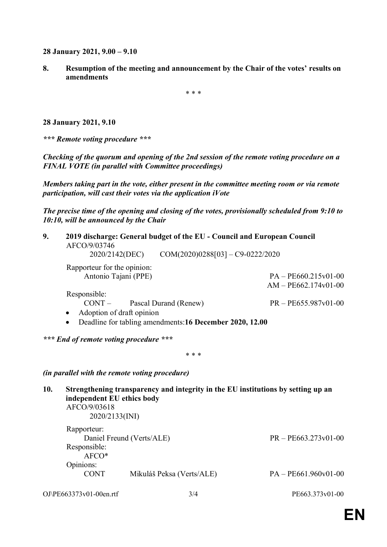**28 January 2021, 9.00 – 9.10**

**8. Resumption of the meeting and announcement by the Chair of the votes' results on amendments**

\* \* \*

**28 January 2021, 9.10**

*\*\*\* Remote voting procedure \*\*\**

*Checking of the quorum and opening of the 2nd session of the remote voting procedure on a FINAL VOTE (in parallel with Committee proceedings)*

*Members taking part in the vote, either present in the committee meeting room or via remote participation, will cast their votes via the application iVote*

*The precise time of the opening and closing of the votes, provisionally scheduled from 9:10 to 10:10, will be announced by the Chair*

| 9.  | 2019 discharge: General budget of the EU - Council and European Council<br>AFCO/9/03746<br>$2020/2142(DEC)$ $COM(2020)0288[03] - C9-0222/2020$   |                                                                            |
|-----|--------------------------------------------------------------------------------------------------------------------------------------------------|----------------------------------------------------------------------------|
|     | Rapporteur for the opinion:<br>Antonio Tajani (PPE)<br>Responsible:<br>$CONT$ – Pascal Durand (Renew)                                            | $PA - PE660.215v01-00$<br>$AM - PE662.174v01-00$<br>$PR - PE655.987v01-00$ |
|     | Adoption of draft opinion<br>٠<br>Deadline for tabling amendments:16 December 2020, 12.00<br>$\bullet$<br>*** End of remote voting procedure *** |                                                                            |
|     | * * *                                                                                                                                            |                                                                            |
|     | (in parallel with the remote voting procedure)                                                                                                   |                                                                            |
| 10. | Strengthening transparency and integrity in the EU institutions by setting up an<br>independent EU ethics body<br>AFCO/9/03618<br>2020/2133(INI) |                                                                            |
|     | Rapporteur:<br>Daniel Freund (Verts/ALE)                                                                                                         | $PR - PE663.273v01-00$                                                     |

Responsible: AFCO\* Opinions: CONT Mikuláš Peksa (Verts/ALE) PA – PE661.960v01-00

OJ\PE663373v01-00en.rtf 3/4 PE663.373v01-00